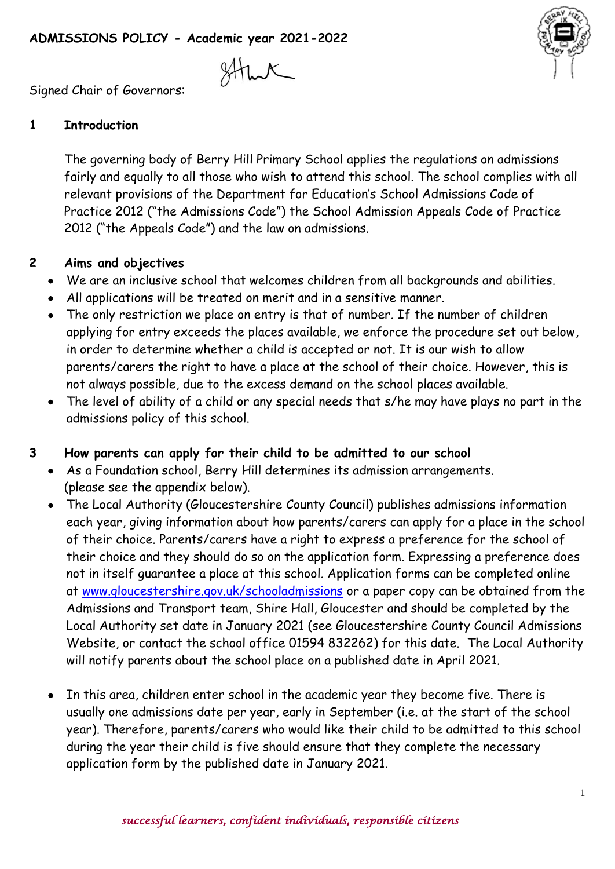Signed Chair of Governors:

## **1 Introduction**

The governing body of Berry Hill Primary School applies the regulations on admissions fairly and equally to all those who wish to attend this school. The school complies with all relevant provisions of the Department for Education's School Admissions Code of Practice 2012 ("the Admissions Code") the School Admission Appeals Code of Practice 2012 ("the Appeals Code") and the law on admissions.

### **2 Aims and objectives**

- We are an inclusive school that welcomes children from all backgrounds and abilities.
- All applications will be treated on merit and in a sensitive manner.
- The only restriction we place on entry is that of number. If the number of children applying for entry exceeds the places available, we enforce the procedure set out below, in order to determine whether a child is accepted or not. It is our wish to allow parents/carers the right to have a place at the school of their choice. However, this is not always possible, due to the excess demand on the school places available.
- The level of ability of a child or any special needs that s/he may have plays no part in the admissions policy of this school.

# **3 How parents can apply for their child to be admitted to our school**

- As a Foundation school, Berry Hill determines its admission arrangements. (please see the appendix below).
- The Local Authority (Gloucestershire County Council) publishes admissions information each year, giving information about how parents/carers can apply for a place in the school of their choice. Parents/carers have a right to express a preference for the school of their choice and they should do so on the application form. Expressing a preference does not in itself guarantee a place at this school. Application forms can be completed online at [www.gloucestershire.gov.uk/schooladmissions](http://www.gloucestershire.gov.uk/schooladmissions) or a paper copy can be obtained from the Admissions and Transport team, Shire Hall, Gloucester and should be completed by the Local Authority set date in January 2021 (see Gloucestershire County Council Admissions Website, or contact the school office 01594 832262) for this date. The Local Authority will notify parents about the school place on a published date in April 2021.
- In this area, children enter school in the academic year they become five. There is usually one admissions date per year, early in September (i.e. at the start of the school year). Therefore, parents/carers who would like their child to be admitted to this school during the year their child is five should ensure that they complete the necessary application form by the published date in January 2021.

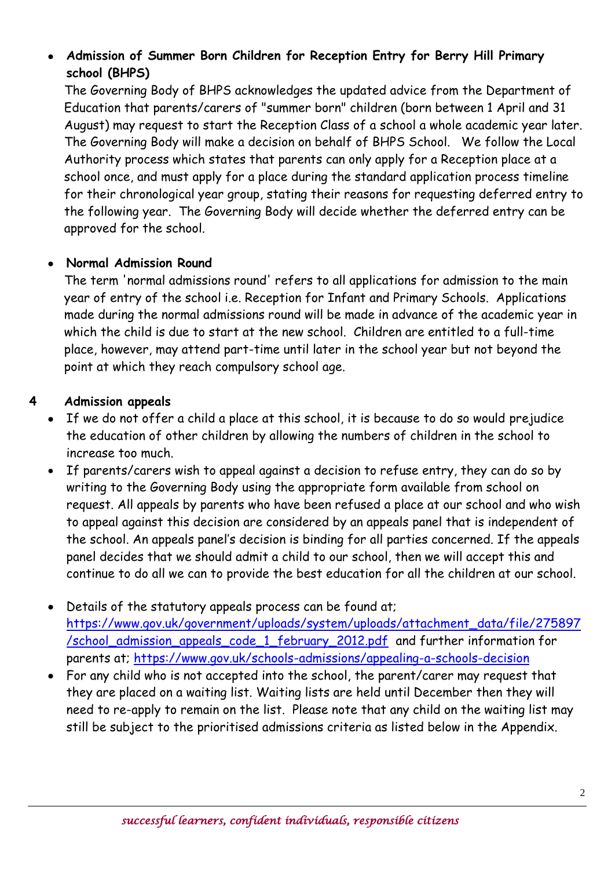## **Admission of Summer Born Children for Reception Entry for Berry Hill Primary school (BHPS)**

The Governing Body of BHPS acknowledges the updated advice from the Department of Education that parents/carers of "summer born" children (born between 1 April and 31 August) may request to start the Reception Class of a school a whole academic year later. The Governing Body will make a decision on behalf of BHPS School. We follow the Local Authority process which states that parents can only apply for a Reception place at a school once, and must apply for a place during the standard application process timeline for their chronological year group, stating their reasons for requesting deferred entry to the following year. The Governing Body will decide whether the deferred entry can be approved for the school.

### **Normal Admission Round**

The term 'normal admissions round' refers to all applications for admission to the main year of entry of the school i.e. Reception for Infant and Primary Schools. Applications made during the normal admissions round will be made in advance of the academic year in which the child is due to start at the new school. Children are entitled to a full-time place, however, may attend part-time until later in the school year but not beyond the point at which they reach compulsory school age.

### **4 Admission appeals**

- If we do not offer a child a place at this school, it is because to do so would prejudice the education of other children by allowing the numbers of children in the school to increase too much.
- If parents/carers wish to appeal against a decision to refuse entry, they can do so by writing to the Governing Body using the appropriate form available from school on request. All appeals by parents who have been refused a place at our school and who wish to appeal against this decision are considered by an appeals panel that is independent of the school. An appeals panel's decision is binding for all parties concerned. If the appeals panel decides that we should admit a child to our school, then we will accept this and continue to do all we can to provide the best education for all the children at our school.
- Details of the statutory appeals process can be found at; [https://www.gov.uk/government/uploads/system/uploads/attachment\\_data/file/275897](https://www.gov.uk/government/uploads/system/uploads/attachment_data/file/275897/school_admission_appeals_code_1_february_2012.pdf) [/school\\_admission\\_appeals\\_code\\_1\\_february\\_2012.pdf](https://www.gov.uk/government/uploads/system/uploads/attachment_data/file/275897/school_admission_appeals_code_1_february_2012.pdf) and further information for parents at;<https://www.gov.uk/schools-admissions/appealing-a-schools-decision>
- For any child who is not accepted into the school, the parent/carer may request that they are placed on a waiting list. Waiting lists are held until December then they will need to re-apply to remain on the list. Please note that any child on the waiting list may still be subject to the prioritised admissions criteria as listed below in the Appendix.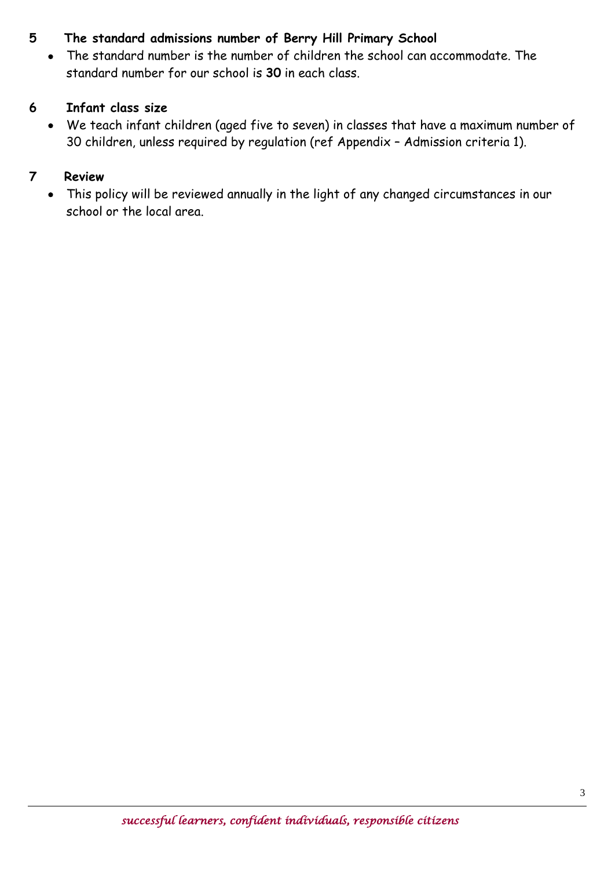## **5 The standard admissions number of Berry Hill Primary School**

 The standard number is the number of children the school can accommodate. The standard number for our school is **30** in each class.

### **6 Infant class size**

 We teach infant children (aged five to seven) in classes that have a maximum number of 30 children, unless required by regulation (ref Appendix – Admission criteria 1).

# **7 Review**

 This policy will be reviewed annually in the light of any changed circumstances in our school or the local area.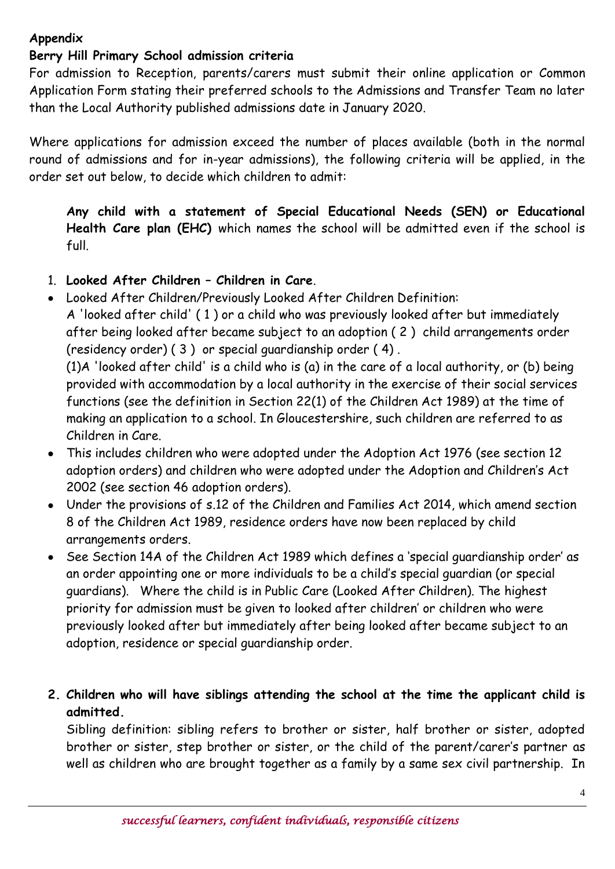### **Appendix**

#### **Berry Hill Primary School admission criteria**

For admission to Reception, parents/carers must submit their online application or Common Application Form stating their preferred schools to the Admissions and Transfer Team no later than the Local Authority published admissions date in January 2020.

Where applications for admission exceed the number of places available (both in the normal round of admissions and for in-year admissions), the following criteria will be applied, in the order set out below, to decide which children to admit:

**Any child with a statement of Special Educational Needs (SEN) or Educational Health Care plan (EHC)** which names the school will be admitted even if the school is full.

- 1. **Looked After Children – Children in Care**.
- Looked After Children/Previously Looked After Children Definition:

A 'looked after child' ( 1 ) or a child who was previously looked after but immediately after being looked after became subject to an adoption ( 2 ) child arrangements order (residency order) ( 3 ) or special guardianship order ( 4) .

(1)A 'looked after child' is a child who is (a) in the care of a local authority, or (b) being provided with accommodation by a local authority in the exercise of their social services functions (see the definition in Section 22(1) of the Children Act 1989) at the time of making an application to a school. In Gloucestershire, such children are referred to as Children in Care.

- This includes children who were adopted under the Adoption Act 1976 (see section 12 adoption orders) and children who were adopted under the Adoption and Children's Act 2002 (see section 46 adoption orders).
- Under the provisions of s.12 of the Children and Families Act 2014, which amend section 8 of the Children Act 1989, residence orders have now been replaced by child arrangements orders.
- See Section 14A of the Children Act 1989 which defines a 'special guardianship order' as an order appointing one or more individuals to be a child's special guardian (or special guardians). Where the child is in Public Care (Looked After Children). The highest priority for admission must be given to looked after children' or children who were previously looked after but immediately after being looked after became subject to an adoption, residence or special guardianship order.
- **2. Children who will have siblings attending the school at the time the applicant child is admitted.**

Sibling definition: sibling refers to brother or sister, half brother or sister, adopted brother or sister, step brother or sister, or the child of the parent/carer's partner as well as children who are brought together as a family by a same sex civil partnership. In